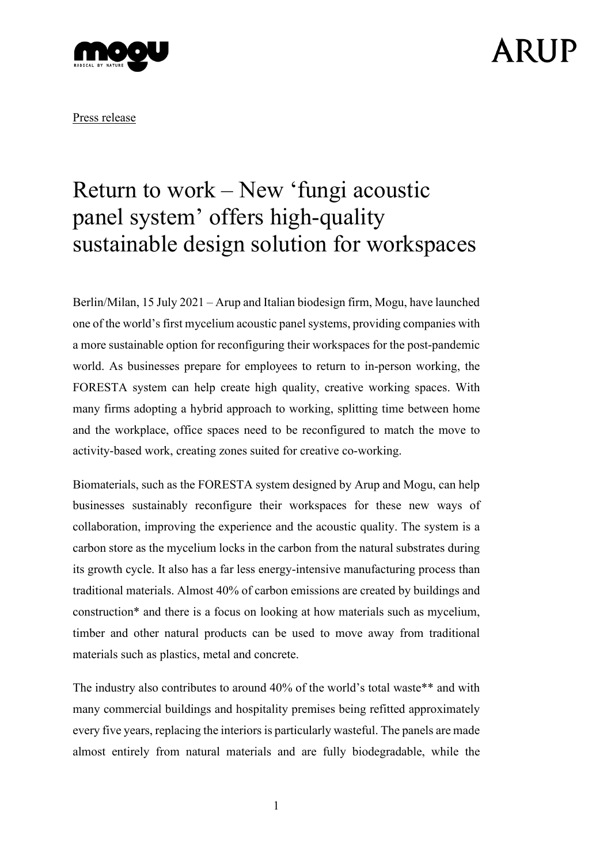

## ARIJP

Press release

### Return to work – New 'fungi acoustic panel system' offers high-quality sustainable design solution for workspaces

Berlin/Milan, 15 July 2021 – Arup and Italian biodesign firm, Mogu, have launched one of the world's first mycelium acoustic panel systems, providing companies with a more sustainable option for reconfiguring their workspaces for the post-pandemic world. As businesses prepare for employees to return to in-person working, the FORESTA system can help create high quality, creative working spaces. With many firms adopting a hybrid approach to working, splitting time between home and the workplace, office spaces need to be reconfigured to match the move to activity-based work, creating zones suited for creative co-working.

Biomaterials, such as the FORESTA system designed by Arup and Mogu, can help businesses sustainably reconfigure their workspaces for these new ways of collaboration, improving the experience and the acoustic quality. The system is a carbon store as the mycelium locks in the carbon from the natural substrates during its growth cycle. It also has a far less energy-intensive manufacturing process than traditional materials. Almost 40% of carbon emissions are created by buildings and construction\* and there is a focus on looking at how materials such as mycelium, timber and other natural products can be used to move away from traditional materials such as plastics, metal and concrete.

The industry also contributes to around 40% of the world's total waste\*\* and with many commercial buildings and hospitality premises being refitted approximately every five years, replacing the interiors is particularly wasteful. The panels are made almost entirely from natural materials and are fully biodegradable, while the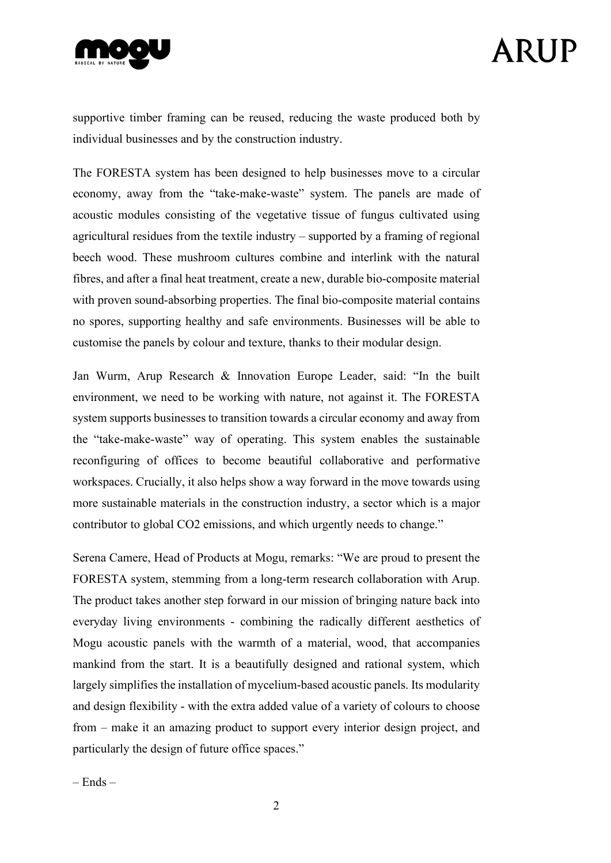

# ARIJP

supportive timber framing can be reused, reducing the waste produced both by individual businesses and by the construction industry.

The FORESTA system has been designed to help businesses move to a circular economy, away from the "take-make-waste" system. The panels are made of acoustic modules consisting of the vegetative tissue of fungus cultivated using agricultural residues from the textile industry – supported by a framing of regional beech wood. These mushroom cultures combine and interlink with the natural fibres, and after a final heat treatment, create a new, durable bio-composite material with proven sound-absorbing properties. The final bio-composite material contains no spores, supporting healthy and safe environments. Businesses will be able to customise the panels by colour and texture, thanks to their modular design.

Jan Wurm, Arup Research & Innovation Europe Leader, said: "In the built environment, we need to be working with nature, not against it. The FORESTA system supports businesses to transition towards a circular economy and away from the "take-make-waste" way of operating. This system enables the sustainable reconfiguring of offices to become beautiful collaborative and performative workspaces. Crucially, it also helps show a way forward in the move towards using more sustainable materials in the construction industry, a sector which is a major contributor to global CO2 emissions, and which urgently needs to change."

Serena Camere, Head of Products at Mogu, remarks: "We are proud to present the FORESTA system, stemming from a long-term research collaboration with Arup. The product takes another step forward in our mission of bringing nature back into everyday living environments - combining the radically different aesthetics of Mogu acoustic panels with the warmth of a material, wood, that accompanies mankind from the start. It is a beautifully designed and rational system, which largely simplifies the installation of mycelium-based acoustic panels. Its modularity and design flexibility - with the extra added value of a variety of colours to choose from – make it an amazing product to support every interior design project, and particularly the design of future office spaces."

 $-$  Ends  $-$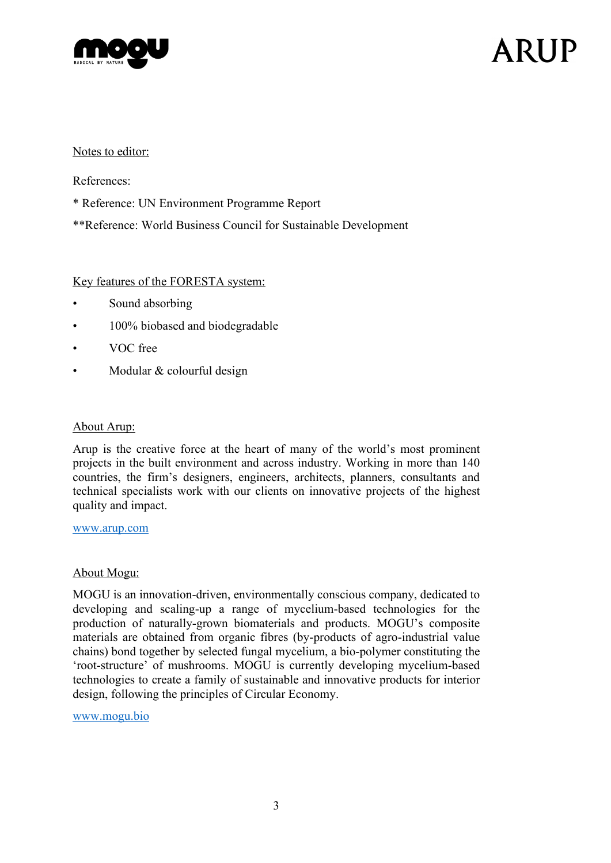

# ARIJP

### Notes to editor:

References:

- \* Reference: UN Environment Programme Report
- \*\*Reference: World Business Council for Sustainable Development

### Key features of the FORESTA system:

- Sound absorbing
- 100% biobased and biodegradable
- VOC free
- Modular & colourful design

### About Arup:

Arup is the creative force at the heart of many of the world's most prominent projects in the built environment and across industry. Working in more than 140 countries, the firm's designers, engineers, architects, planners, consultants and technical specialists work with our clients on innovative projects of the highest quality and impact.

#### [www.arup.com](http://www.arup.com/)

### About Mogu:

MOGU is an innovation-driven, environmentally conscious company, dedicated to developing and scaling-up a range of mycelium-based technologies for the production of naturally-grown biomaterials and products. MOGU's composite materials are obtained from organic fibres (by-products of agro-industrial value chains) bond together by selected fungal mycelium, a bio-polymer constituting the 'root-structure' of mushrooms. MOGU is currently developing mycelium-based technologies to create a family of sustainable and innovative products for interior design, following the principles of Circular Economy.

[www.mogu.bio](http://www.mogu.bio/)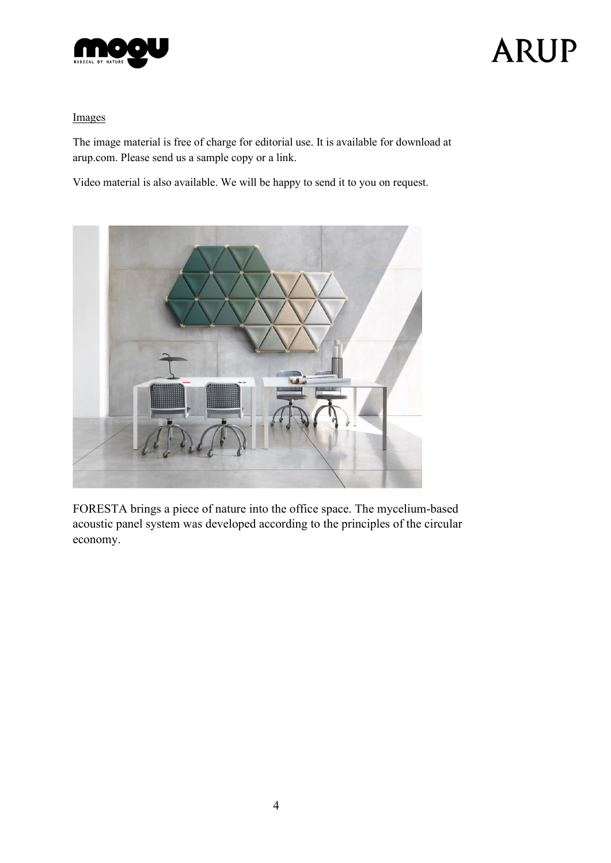

# **ARUP**

### Images

The image material is free of charge for editorial use. It is available for download at arup.com. Please send us a sample copy or a link.

Video material is also available. We will be happy to send it to you on request.



FORESTA brings a piece of nature into the office space. The mycelium-based acoustic panel system was developed according to the principles of the circular economy.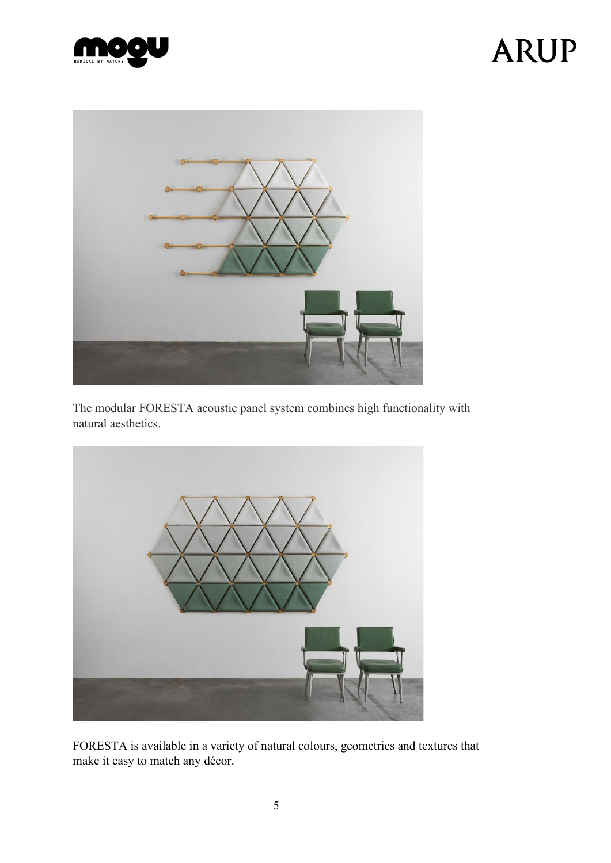

# **ARUP**



The modular FORESTA acoustic panel system combines high functionality with natural aesthetics.



FORESTA is available in a variety of natural colours, geometries and textures that make it easy to match any décor.